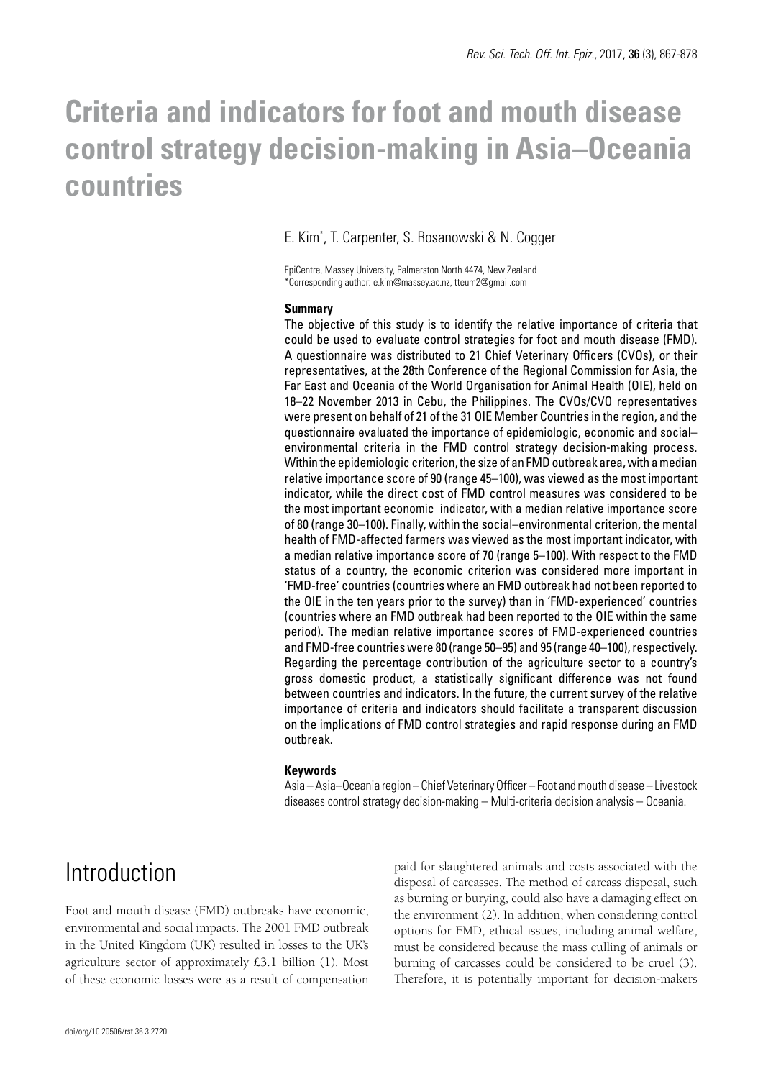# **Criteria and indicators for foot and mouth disease control strategy decision-making in Asia–Oceania countries**

#### E. Kim\* , T. Carpenter, S. Rosanowski & N. Cogger

EpiCentre, Massey University, Palmerston North 4474, New Zealand \*Corresponding author: e.kim@massey.ac.nz, tteum2@gmail.com

#### **Summary**

The objective of this study is to identify the relative importance of criteria that could be used to evaluate control strategies for foot and mouth disease (FMD). A questionnaire was distributed to 21 Chief Veterinary Officers (CVOs), or their representatives, at the 28th Conference of the Regional Commission for Asia, the Far East and Oceania of the World Organisation for Animal Health (OIE), held on 18–22 November 2013 in Cebu, the Philippines. The CVOs/CVO representatives were present on behalf of 21 of the 31 OIE Member Countries in the region, and the questionnaire evaluated the importance of epidemiologic, economic and social– environmental criteria in the FMD control strategy decision-making process. Within the epidemiologic criterion, the size of an FMD outbreak area, with a median relative importance score of 90 (range 45–100), was viewed as the most important indicator, while the direct cost of FMD control measures was considered to be the most important economic indicator, with a median relative importance score of 80 (range 30–100). Finally, within the social–environmental criterion, the mental health of FMD-affected farmers was viewed as the most important indicator, with a median relative importance score of 70 (range 5–100). With respect to the FMD status of a country, the economic criterion was considered more important in 'FMD-free' countries (countries where an FMD outbreak had not been reported to the OIE in the ten years prior to the survey) than in 'FMD-experienced' countries (countries where an FMD outbreak had been reported to the OIE within the same period). The median relative importance scores of FMD-experienced countries and FMD-free countries were 80 (range 50–95) and 95 (range 40–100), respectively. Regarding the percentage contribution of the agriculture sector to a country's gross domestic product, a statistically significant difference was not found between countries and indicators. In the future, the current survey of the relative importance of criteria and indicators should facilitate a transparent discussion on the implications of FMD control strategies and rapid response during an FMD outbreak.

#### **Keywords**

Asia – Asia–Oceania region – Chief Veterinary Officer – Foot and mouth disease – Livestock diseases control strategy decision-making – Multi-criteria decision analysis – Oceania.

### Introduction

Foot and mouth disease (FMD) outbreaks have economic, environmental and social impacts. The 2001 FMD outbreak in the United Kingdom (UK) resulted in losses to the UK's agriculture sector of approximately £3.1 billion (1). Most of these economic losses were as a result of compensation

paid for slaughtered animals and costs associated with the disposal of carcasses. The method of carcass disposal, such as burning or burying, could also have a damaging effect on the environment (2). In addition, when considering control options for FMD, ethical issues, including animal welfare, must be considered because the mass culling of animals or burning of carcasses could be considered to be cruel (3). Therefore, it is potentially important for decision-makers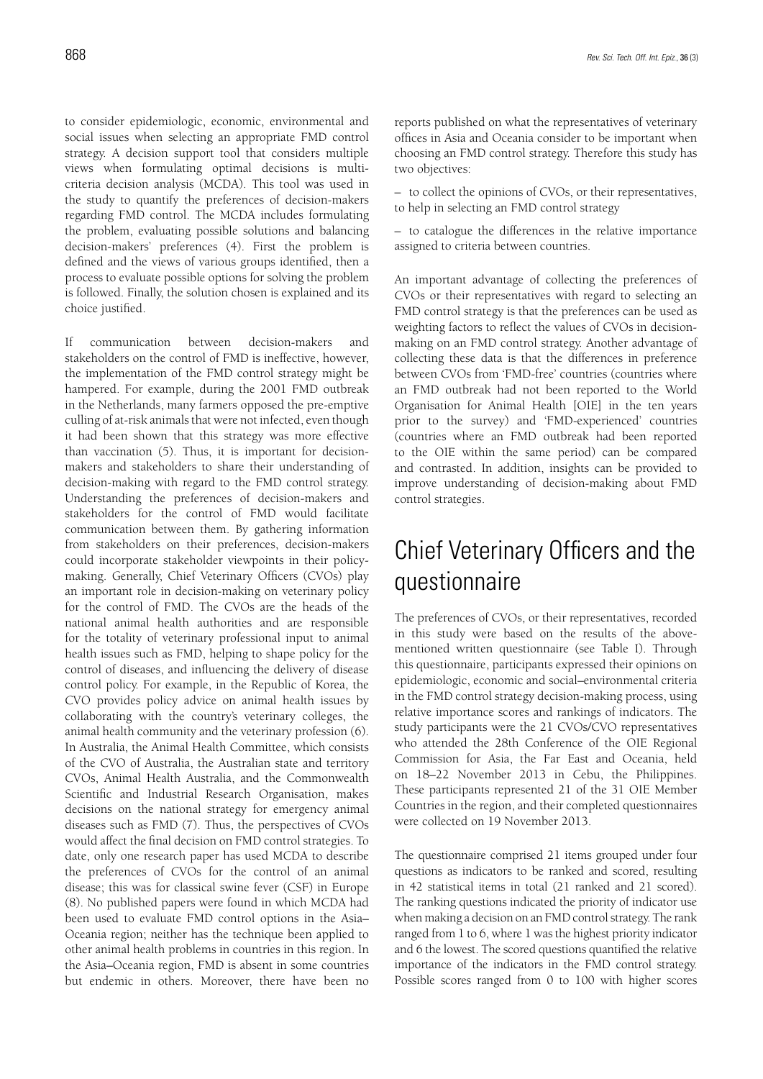to consider epidemiologic, economic, environmental and social issues when selecting an appropriate FMD control strategy. A decision support tool that considers multiple views when formulating optimal decisions is multicriteria decision analysis (MCDA). This tool was used in the study to quantify the preferences of decision-makers regarding FMD control. The MCDA includes formulating the problem, evaluating possible solutions and balancing decision-makers' preferences (4). First the problem is defined and the views of various groups identified, then a process to evaluate possible options for solving the problem is followed. Finally, the solution chosen is explained and its choice justified.

If communication between decision-makers and stakeholders on the control of FMD is ineffective, however, the implementation of the FMD control strategy might be hampered. For example, during the 2001 FMD outbreak in the Netherlands, many farmers opposed the pre-emptive culling of at-risk animals that were not infected, even though it had been shown that this strategy was more effective than vaccination (5). Thus, it is important for decisionmakers and stakeholders to share their understanding of decision-making with regard to the FMD control strategy. Understanding the preferences of decision-makers and stakeholders for the control of FMD would facilitate communication between them. By gathering information from stakeholders on their preferences, decision-makers could incorporate stakeholder viewpoints in their policymaking. Generally, Chief Veterinary Officers (CVOs) play an important role in decision-making on veterinary policy for the control of FMD. The CVOs are the heads of the national animal health authorities and are responsible for the totality of veterinary professional input to animal health issues such as FMD, helping to shape policy for the control of diseases, and influencing the delivery of disease control policy. For example, in the Republic of Korea, the CVO provides policy advice on animal health issues by collaborating with the country's veterinary colleges, the animal health community and the veterinary profession (6). In Australia, the Animal Health Committee, which consists of the CVO of Australia, the Australian state and territory CVOs, Animal Health Australia, and the Commonwealth Scientific and Industrial Research Organisation, makes decisions on the national strategy for emergency animal diseases such as FMD (7). Thus, the perspectives of CVOs would affect the final decision on FMD control strategies. To date, only one research paper has used MCDA to describe the preferences of CVOs for the control of an animal disease; this was for classical swine fever (CSF) in Europe (8). No published papers were found in which MCDA had been used to evaluate FMD control options in the Asia– Oceania region; neither has the technique been applied to other animal health problems in countries in this region. In the Asia–Oceania region, FMD is absent in some countries but endemic in others. Moreover, there have been no reports published on what the representatives of veterinary offices in Asia and Oceania consider to be important when choosing an FMD control strategy. Therefore this study has two objectives:

– to collect the opinions of CVOs, or their representatives, to help in selecting an FMD control strategy

– to catalogue the differences in the relative importance assigned to criteria between countries.

An important advantage of collecting the preferences of CVOs or their representatives with regard to selecting an FMD control strategy is that the preferences can be used as weighting factors to reflect the values of CVOs in decisionmaking on an FMD control strategy. Another advantage of collecting these data is that the differences in preference between CVOs from 'FMD-free' countries (countries where an FMD outbreak had not been reported to the World Organisation for Animal Health [OIE] in the ten years prior to the survey) and 'FMD-experienced' countries (countries where an FMD outbreak had been reported to the OIE within the same period) can be compared and contrasted. In addition, insights can be provided to improve understanding of decision-making about FMD control strategies.

## Chief Veterinary Officers and the questionnaire

The preferences of CVOs, or their representatives, recorded in this study were based on the results of the abovementioned written questionnaire (see Table I). Through this questionnaire, participants expressed their opinions on epidemiologic, economic and social–environmental criteria in the FMD control strategy decision-making process, using relative importance scores and rankings of indicators. The study participants were the 21 CVOs/CVO representatives who attended the 28th Conference of the OIE Regional Commission for Asia, the Far East and Oceania, held on 18–22 November 2013 in Cebu, the Philippines. These participants represented 21 of the 31 OIE Member Countries in the region, and their completed questionnaires were collected on 19 November 2013.

The questionnaire comprised 21 items grouped under four questions as indicators to be ranked and scored, resulting in 42 statistical items in total (21 ranked and 21 scored). The ranking questions indicated the priority of indicator use when making a decision on an FMD control strategy. The rank ranged from 1 to 6, where 1 was the highest priority indicator and 6 the lowest. The scored questions quantified the relative importance of the indicators in the FMD control strategy. Possible scores ranged from 0 to 100 with higher scores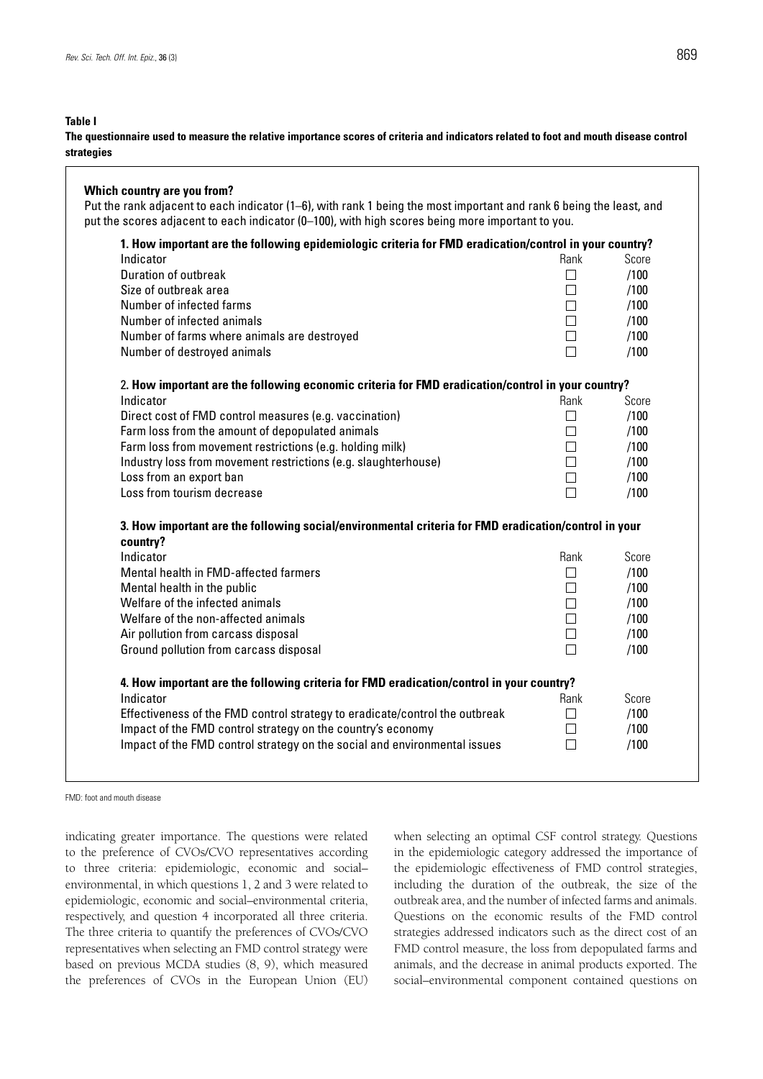#### **Table I**

**The questionnaire used to measure the relative importance scores of criteria and indicators related to foot and mouth disease control strategies**

### **Which country are you from?** Put the rank adjacent to each indicator (1–6), with rank 1 being the most important and rank 6 being the least, and put the scores adjacent to each indicator (0-100), with high scores being more important to you. **1. How important are the following epidemiologic criteria for FMD eradication/control in your country?** Indicator **Rank Score** Rank Score Rank Score Rank Score Rank Score Rank Score Rank Score Rank Score Rank Score Rank Score Rank Score Rank Score Rank Score Rank Score Rank Score Rank Score Rank Score Rank Score Rank Score R Duration of outbreak  $\Box$  /100 Size of outbreak area  $\Box$  /100 Number of infected farms  $\Box$  /100 Number of infected animals *(100)* and  $\Box$  *(100)* and  $\Box$  *(100)* and  $\Box$  *(100)* and  $\Box$  *(100)* and  $\Box$  *(100)* and  $\Box$  *(100)* and  $\Box$  *(100)* and  $\Box$  (100) and (100) and (100) and (100) and (100) and (100) and Number of farms where animals are destroyed **100** and  $\Box$  /100 Number of destroyed animals /100 2**. How important are the following economic criteria for FMD eradication/control in your country?** Indicator **Rank Score** Rank Score Rank Score Rank Score Rank Score Rank Score Rank Score Rank Score Rank Score Rank Score Rank Score Rank Score Rank Score Rank Score Rank Score Rank Score Rank Score Rank Score Rank Score R Direct cost of FMD control measures (e.g. vaccination)  $\Box$  /100 Farm loss from the amount of depopulated animals  $\Box$  /100 Farm loss from movement restrictions (e.g. holding milk)  $\Box$  /100 Industry loss from movement restrictions (e.g. slaughterhouse)  $\Box$  /100 Loss from an export ban  $\Box$  /100 Loss from tourism decrease */100* **3. How important are the following social/environmental criteria for FMD eradication/control in your country?** Indicator **Rank Score** Rank Score Rank Score Rank Score Rank Score Rank Score Rank Score Rank Score Rank Score Rank Score Rank Score Rank Score Rank Score Rank Score Rank Score Rank Score Rank Score Rank Score Rank Score R Mental health in FMD-affected farmers  $\Box$  /100 Mental health in the public  $\Box$  /100 Welfare of the infected animals  $\Box$  /100 Welfare of the non-affected animals  $\Box$  /100 Air pollution from carcass disposal and the control of the control of the control of the control of the control of the control of the control of the control of the control of the control of the control of the control of th Ground pollution from carcass disposal  $\Box$  /100 **4. How important are the following criteria for FMD eradication/control in your country?** Indicator **Rank Score** Rank Score Rank Score Rank Score Rank Score Rank Score Rank Score Rank Score Rank Score Rank Score Rank Score Rank Score Rank Score Rank Score Rank Score Rank Score Rank Score Rank Score Rank Score R Effectiveness of the FMD control strategy to eradicate/control the outbreak  $\Box$  /100 Impact of the FMD control strategy on the country's economy  $\Box$  /100 Impact of the FMD control strategy on the social and environmental issues  $\Box$  /100

FMD: foot and mouth disease

indicating greater importance. The questions were related to the preference of CVOs/CVO representatives according to three criteria: epidemiologic, economic and social– environmental, in which questions 1, 2 and 3 were related to epidemiologic, economic and social–environmental criteria, respectively, and question 4 incorporated all three criteria. The three criteria to quantify the preferences of CVOs/CVO representatives when selecting an FMD control strategy were based on previous MCDA studies (8, 9), which measured the preferences of CVOs in the European Union (EU)

when selecting an optimal CSF control strategy. Questions in the epidemiologic category addressed the importance of the epidemiologic effectiveness of FMD control strategies, including the duration of the outbreak, the size of the outbreak area, and the number of infected farms and animals. Questions on the economic results of the FMD control strategies addressed indicators such as the direct cost of an FMD control measure, the loss from depopulated farms and animals, and the decrease in animal products exported. The social–environmental component contained questions on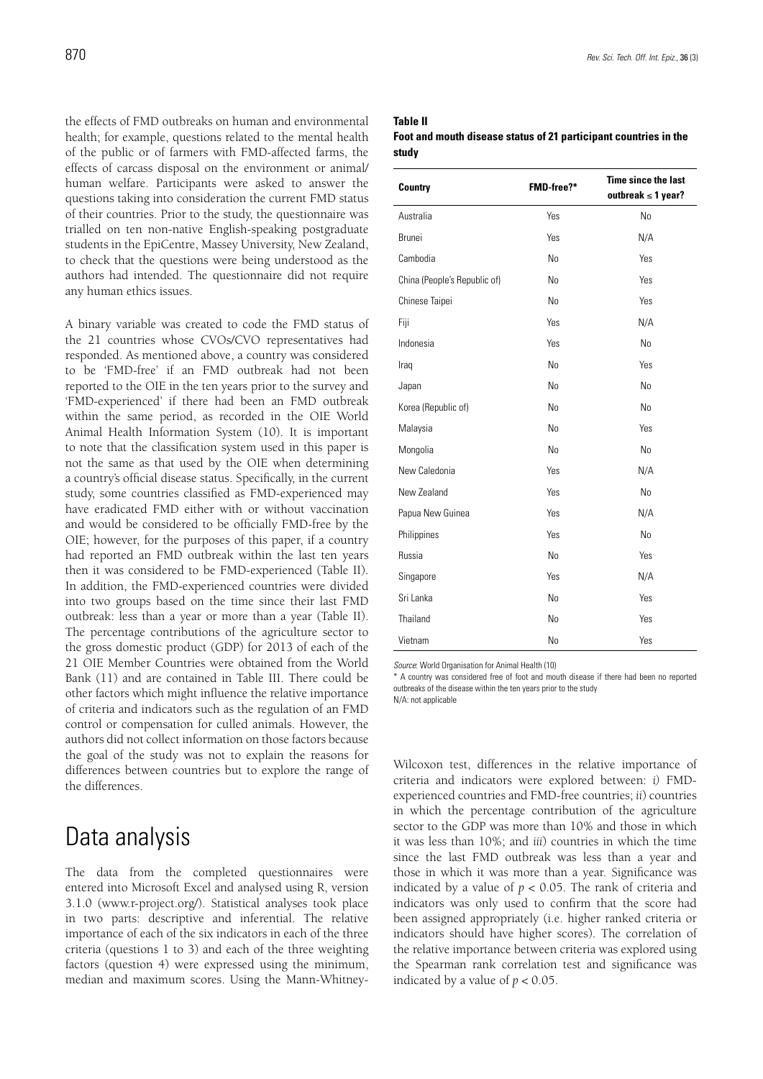the effects of FMD outbreaks on human and environmental health; for example, questions related to the mental health of the public or of farmers with FMD-affected farms, the effects of carcass disposal on the environment or animal/ human welfare. Participants were asked to answer the questions taking into consideration the current FMD status of their countries. Prior to the study, the questionnaire was trialled on ten non-native English-speaking postgraduate students in the EpiCentre, Massey University, New Zealand, to check that the questions were being understood as the authors had intended. The questionnaire did not require any human ethics issues.

A binary variable was created to code the FMD status of the 21 countries whose CVOs/CVO representatives had responded. As mentioned above, a country was considered to be 'FMD-free' if an FMD outbreak had not been reported to the OIE in the ten years prior to the survey and 'FMD-experienced' if there had been an FMD outbreak within the same period, as recorded in the OIE World Animal Health Information System (10). It is important to note that the classification system used in this paper is not the same as that used by the OIE when determining a country's official disease status. Specifically, in the current study, some countries classified as FMD-experienced may have eradicated FMD either with or without vaccination and would be considered to be officially FMD-free by the OIE; however, for the purposes of this paper, if a country had reported an FMD outbreak within the last ten years then it was considered to be FMD-experienced (Table II). In addition, the FMD-experienced countries were divided into two groups based on the time since their last FMD outbreak: less than a year or more than a year (Table II). The percentage contributions of the agriculture sector to the gross domestic product (GDP) for 2013 of each of the 21 OIE Member Countries were obtained from the World Bank (11) and are contained in Table III. There could be other factors which might influence the relative importance of criteria and indicators such as the regulation of an FMD control or compensation for culled animals. However, the authors did not collect information on those factors because the goal of the study was not to explain the reasons for differences between countries but to explore the range of the differences.

### Data analysis

The data from the completed questionnaires were entered into Microsoft Excel and analysed using R, version 3.1.0 (www.r-project.org/). Statistical analyses took place in two parts: descriptive and inferential. The relative importance of each of the six indicators in each of the three criteria (questions 1 to 3) and each of the three weighting factors (question 4) were expressed using the minimum, median and maximum scores. Using the Mann-Whitney-

#### **Table II**

**Foot and mouth disease status of 21 participant countries in the study**

| <b>Country</b>               | FMD-free?*     | <b>Time since the last</b><br>outbreak $\leq 1$ year? |
|------------------------------|----------------|-------------------------------------------------------|
| Australia                    | Yes            | N <sub>0</sub>                                        |
| <b>Brunei</b>                | Yes            | N/A                                                   |
| Cambodia                     | N <sub>o</sub> | Yes                                                   |
| China (People's Republic of) | N <sub>o</sub> | Yes                                                   |
| Chinese Taipei               | N <sub>0</sub> | Yes                                                   |
| Fiji                         | Yes            | N/A                                                   |
| Indonesia                    | Yes            | N <sub>0</sub>                                        |
| Iraq                         | N <sub>o</sub> | Yes                                                   |
| Japan                        | N <sub>o</sub> | N <sub>o</sub>                                        |
| Korea (Republic of)          | N <sub>o</sub> | N <sub>0</sub>                                        |
| Malaysia                     | N <sub>0</sub> | Yes                                                   |
| Mongolia                     | N <sub>o</sub> | N <sub>o</sub>                                        |
| New Caledonia                | Yes            | N/A                                                   |
| New Zealand                  | Yes            | No                                                    |
| Papua New Guinea             | Yes            | N/A                                                   |
| Philippines                  | Yes            | N <sub>0</sub>                                        |
| Russia                       | N <sub>0</sub> | Yes                                                   |
| Singapore                    | Yes            | N/A                                                   |
| Sri Lanka                    | N <sub>o</sub> | Yes                                                   |
| Thailand                     | N <sub>0</sub> | Yes                                                   |
| Vietnam                      | N <sub>0</sub> | Yes                                                   |

*Source*: World Organisation for Animal Health (10)

\* A country was considered free of foot and mouth disease if there had been no reported outbreaks of the disease within the ten years prior to the study N/A: not applicable

Wilcoxon test, differences in the relative importance of criteria and indicators were explored between: *i)* FMDexperienced countries and FMD-free countries; *ii*) countries in which the percentage contribution of the agriculture sector to the GDP was more than 10% and those in which it was less than 10%; and *iii*) countries in which the time since the last FMD outbreak was less than a year and those in which it was more than a year. Significance was indicated by a value of  $p < 0.05$ . The rank of criteria and indicators was only used to confirm that the score had been assigned appropriately (i.e. higher ranked criteria or indicators should have higher scores). The correlation of the relative importance between criteria was explored using the Spearman rank correlation test and significance was indicated by a value of  $p < 0.05$ .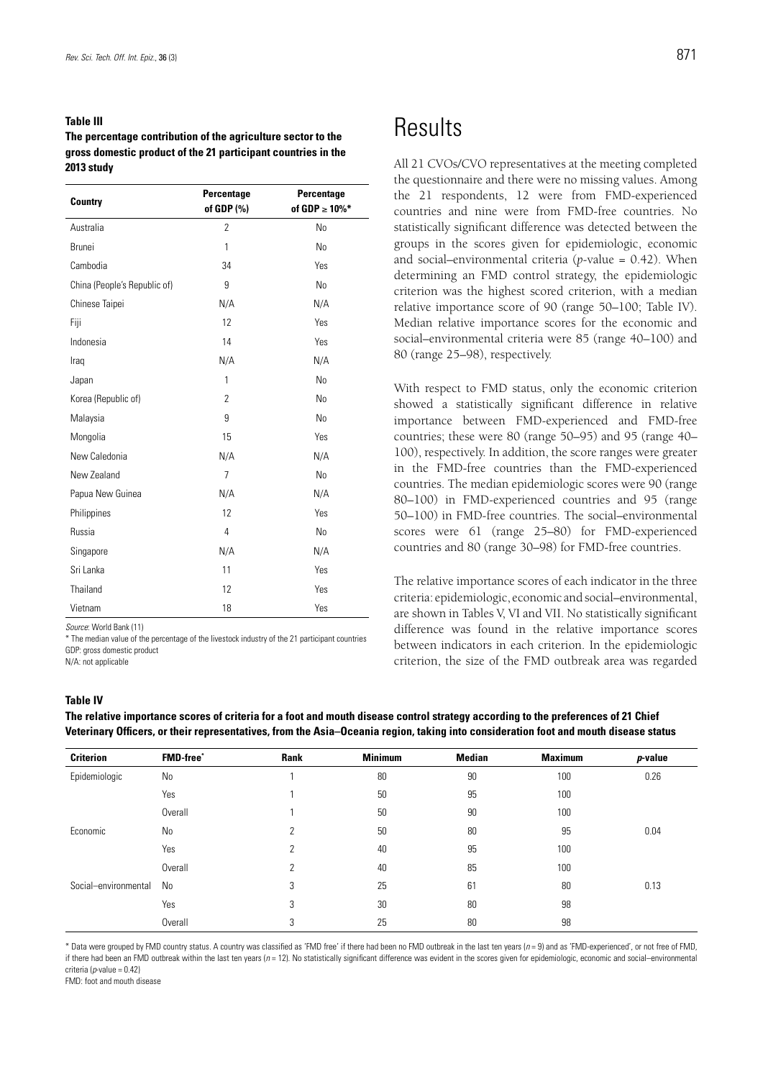#### **Table III**

**The percentage contribution of the agriculture sector to the gross domestic product of the 21 participant countries in the 2013 study**

| <b>Country</b>               | Percentage<br>of GDP (%) | Percentage<br>of GDP $\geq 10\%$ * |
|------------------------------|--------------------------|------------------------------------|
| Australia                    | $\overline{2}$           | No                                 |
| <b>Brunei</b>                | 1                        | N <sub>o</sub>                     |
| Cambodia                     | 34                       | Yes                                |
| China (People's Republic of) | 9                        | N <sub>o</sub>                     |
| Chinese Taipei               | N/A                      | N/A                                |
| Fiji                         | 12                       | Yes                                |
| Indonesia                    | 14                       | Yes                                |
| Iraq                         | N/A                      | N/A                                |
| Japan                        | 1                        | N <sub>o</sub>                     |
| Korea (Republic of)          | $\overline{2}$           | N <sub>o</sub>                     |
| Malaysia                     | 9                        | N <sub>o</sub>                     |
| Mongolia                     | 15                       | Yes                                |
| New Caledonia                | N/A                      | N/A                                |
| New Zealand                  | $\overline{7}$           | N <sub>0</sub>                     |
| Papua New Guinea             | N/A                      | N/A                                |
| Philippines                  | 12                       | Yes                                |
| Russia                       | 4                        | N <sub>o</sub>                     |
| Singapore                    | N/A                      | N/A                                |
| Sri Lanka                    | 11                       | Yes                                |
| Thailand                     | 12                       | Yes                                |
| Vietnam                      | 18                       | Yes                                |

*Source*: World Bank (11)

\* The median value of the percentage of the livestock industry of the 21 participant countries GDP: gross domestic product

N/A: not applicable

#### **Table IV**

**The relative importance scores of criteria for a foot and mouth disease control strategy according to the preferences of 21 Chief Veterinary Officers, or their representatives, from the Asia–Oceania region, taking into consideration foot and mouth disease status**

| <b>Criterion</b>     | <b>FMD-free</b> * | Rank | <b>Minimum</b> | <b>Median</b> | <b>Maximum</b> | $p$ -value |
|----------------------|-------------------|------|----------------|---------------|----------------|------------|
| Epidemiologic        | No                |      | 80             | 90            | 100            | 0.26       |
|                      | Yes               |      | 50             | 95            | 100            |            |
|                      | Overall           |      | 50             | 90            | 100            |            |
| Economic             | No                | 2    | 50             | 80            | 95             | 0.04       |
|                      | Yes               | 2    | 40             | 95            | 100            |            |
|                      | Overall           | 2    | 40             | 85            | 100            |            |
| Social-environmental | No                | 3    | 25             | 61            | 80             | 0.13       |
|                      | Yes               | 3    | 30             | 80            | 98             |            |
|                      | Overall           | 3    | 25             | 80            | 98             |            |

\* Data were grouped by FMD country status. A country was classified as 'FMD free' if there had been no FMD outbreak in the last ten years (*n* = 9) and as 'FMD-experienced', or not free of FMD, if there had been an FMD outbreak within the last ten years (*n* = 12). No statistically significant difference was evident in the scores given for epidemiologic, economic and social–environmental criteria (*p*-value = 0.42)

FMD: foot and mouth disease

### **Results**

All 21 CVOs/CVO representatives at the meeting completed the questionnaire and there were no missing values. Among the 21 respondents, 12 were from FMD-experienced countries and nine were from FMD-free countries. No statistically significant difference was detected between the groups in the scores given for epidemiologic, economic and social–environmental criteria (*p*-value = 0.42). When determining an FMD control strategy, the epidemiologic criterion was the highest scored criterion, with a median relative importance score of 90 (range 50–100; Table IV). Median relative importance scores for the economic and social–environmental criteria were 85 (range 40–100) and 80 (range 25–98), respectively.

With respect to FMD status, only the economic criterion showed a statistically significant difference in relative importance between FMD-experienced and FMD-free countries; these were 80 (range 50–95) and 95 (range 40– 100), respectively. In addition, the score ranges were greater in the FMD-free countries than the FMD-experienced countries. The median epidemiologic scores were 90 (range 80–100) in FMD-experienced countries and 95 (range 50–100) in FMD-free countries. The social–environmental scores were 61 (range 25–80) for FMD-experienced countries and 80 (range 30–98) for FMD-free countries.

The relative importance scores of each indicator in the three criteria: epidemiologic, economic and social–environmental, are shown in Tables V, VI and VII. No statistically significant difference was found in the relative importance scores between indicators in each criterion. In the epidemiologic criterion, the size of the FMD outbreak area was regarded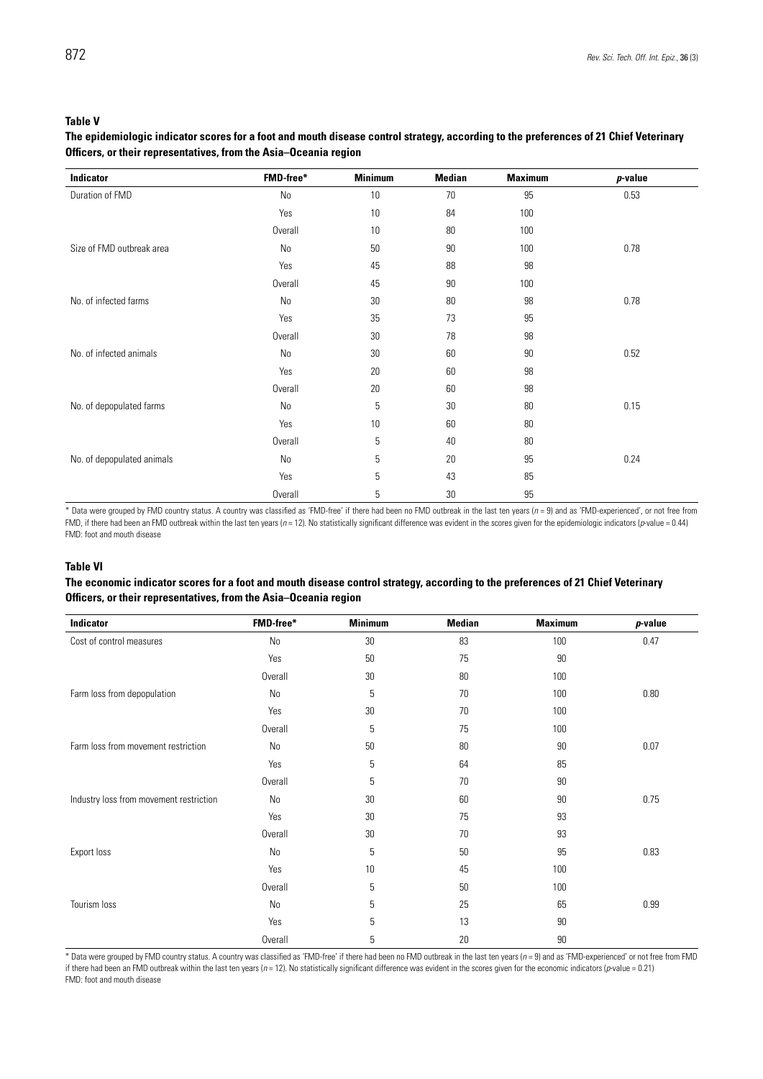#### **Table V**

#### **The epidemiologic indicator scores for a foot and mouth disease control strategy, according to the preferences of 21 Chief Veterinary Officers, or their representatives, from the Asia–Oceania region**

| Indicator                  | FMD-free* | <b>Minimum</b> | <b>Median</b> | <b>Maximum</b> | $p$ -value |
|----------------------------|-----------|----------------|---------------|----------------|------------|
| Duration of FMD            | No        | 10             | 70            | 95             | 0.53       |
|                            | Yes       | 10             | 84            | 100            |            |
|                            | Overall   | 10             | 80            | 100            |            |
| Size of FMD outbreak area  | No        | 50             | 90            | 100            | 0.78       |
|                            | Yes       | 45             | 88            | 98             |            |
|                            | Overall   | 45             | 90            | 100            |            |
| No. of infected farms      | No        | 30             | 80            | 98             | 0.78       |
|                            | Yes       | 35             | 73            | 95             |            |
|                            | Overall   | 30             | 78            | 98             |            |
| No. of infected animals    | No        | 30             | 60            | 90             | 0.52       |
|                            | Yes       | 20             | 60            | 98             |            |
|                            | Overall   | 20             | 60            | 98             |            |
| No. of depopulated farms   | No        | 5              | 30            | 80             | 0.15       |
|                            | Yes       | $10\,$         | 60            | 80             |            |
|                            | Overall   | 5              | 40            | 80             |            |
| No. of depopulated animals | No        | 5              | 20            | 95             | 0.24       |
|                            | Yes       | 5              | 43            | 85             |            |
|                            | Overall   | $5\,$          | 30            | 95             |            |

\* Data were grouped by FMD country status. A country was classified as 'FMD-free' if there had been no FMD outbreak in the last ten years (*n* = 9) and as 'FMD-experienced', or not free from FMD, if there had been an FMD outbreak within the last ten years (*n* = 12). No statistically significant difference was evident in the scores given for the epidemiologic indicators (*p*-value = 0.44) FMD: foot and mouth disease

#### **Table VI**

#### **The economic indicator scores for a foot and mouth disease control strategy, according to the preferences of 21 Chief Veterinary Officers, or their representatives, from the Asia–Oceania region**

| Indicator                               | FMD-free*      | <b>Minimum</b> | <b>Median</b> | <b>Maximum</b> | $p$ -value |
|-----------------------------------------|----------------|----------------|---------------|----------------|------------|
| Cost of control measures                | No             | 30             | 83            | 100            | 0.47       |
|                                         | Yes            | 50             | 75            | 90             |            |
|                                         | Overall        | 30             | 80            | 100            |            |
| Farm loss from depopulation             | No             | 5              | 70            | 100            | 0.80       |
|                                         | Yes            | $30\,$         | 70            | 100            |            |
|                                         | <b>Overall</b> | 5              | 75            | 100            |            |
| Farm loss from movement restriction     | No             | 50             | 80            | 90             | 0.07       |
|                                         | Yes            | 5              | 64            | 85             |            |
|                                         | Overall        | 5              | 70            | 90             |            |
| Industry loss from movement restriction | No             | 30             | 60            | 90             | 0.75       |
|                                         | Yes            | 30             | 75            | 93             |            |
|                                         | Overall        | 30             | 70            | 93             |            |
| Export loss                             | No             | 5              | 50            | 95             | 0.83       |
|                                         | Yes            | 10             | 45            | 100            |            |
|                                         | Overall        | 5              | 50            | 100            |            |
| Tourism loss                            | No             | 5              | 25            | 65             | 0.99       |
|                                         | Yes            | 5              | 13            | 90             |            |
|                                         | Overall        | 5              | 20            | 90             |            |

\* Data were grouped by FMD country status. A country was classified as 'FMD-free' if there had been no FMD outbreak in the last ten years (*n* = 9) and as 'FMD-experienced' or not free from FMD if there had been an FMD outbreak within the last ten years ( $n = 12$ ). No statistically significant difference was evident in the scores given for the economic indicators (*p*-value = 0.21) FMD: foot and mouth disease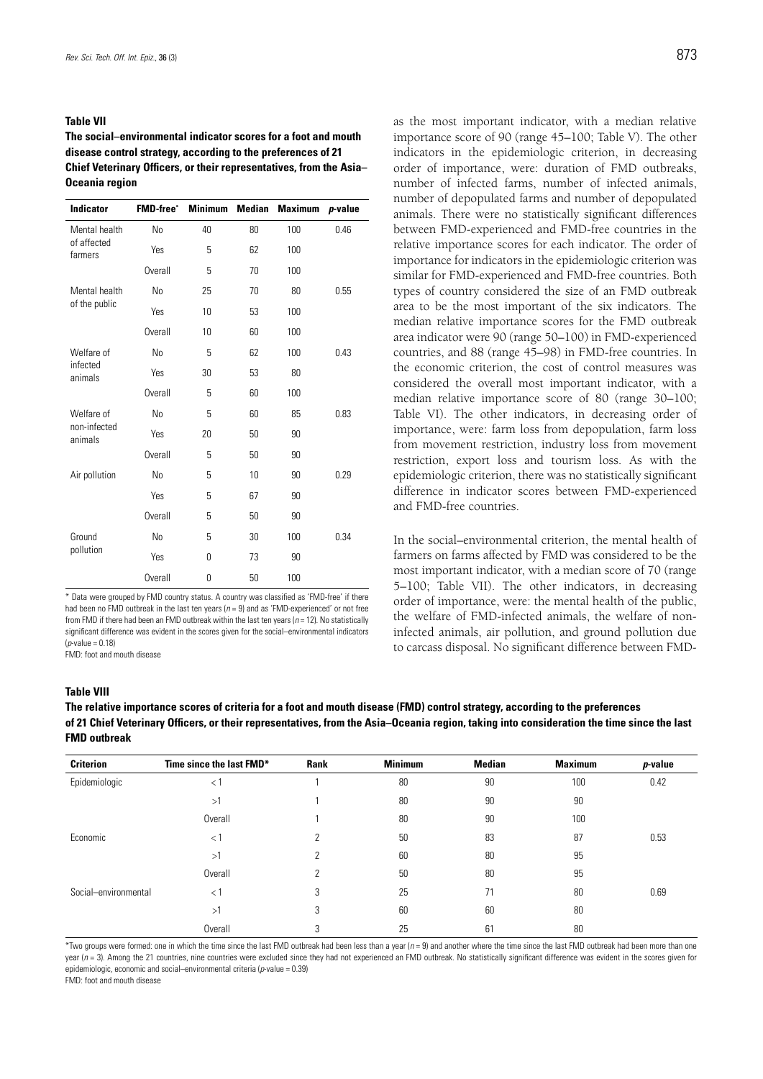#### **Table VII**

**The social–environmental indicator scores for a foot and mouth disease control strategy, according to the preferences of 21 Chief Veterinary Officers, or their representatives, from the Asia– Oceania region**

| <b>Indicator</b>        | <b>FMD-free</b> * | <b>Minimum</b> | <b>Median</b> | <b>Maximum</b> | $p$ -value |
|-------------------------|-------------------|----------------|---------------|----------------|------------|
| Mental health           | N <sub>0</sub>    | 40             | 80            | 100            | 0.46       |
| of affected<br>farmers  | Yes               | 5              | 62            | 100            |            |
|                         | Overall           | 5              | 70            | 100            |            |
| Mental health           | N <sub>0</sub>    | 25             | 70            | 80             | 0.55       |
| of the public           | Yes               | 10             | 53            | 100            |            |
|                         | Overall           | 10             | 60            | 100            |            |
| Welfare of              | No                | 5              | 62            | 100            | 0.43       |
| infected<br>animals     | Yes               | 30             | 53            | 80             |            |
|                         | <b>Overall</b>    | 5              | 60            | 100            |            |
| Welfare of              | N <sub>0</sub>    | 5              | 60            | 85             | 0.83       |
| non-infected<br>animals | Yes               | 20             | 50            | 90             |            |
|                         | Overall           | 5              | 50            | 90             |            |
| Air pollution           | N <sub>0</sub>    | 5              | 10            | 90             | 0.29       |
|                         | Yes               | 5              | 67            | 90             |            |
|                         | Overall           | 5              | 50            | 90             |            |
| Ground                  | N <sub>0</sub>    | 5              | 30            | 100            | 0.34       |
| pollution               | Yes               | 0              | 73            | 90             |            |
|                         | Overall           | 0              | 50            | 100            |            |

\* Data were grouped by FMD country status. A country was classified as 'FMD-free' if there had been no FMD outbreak in the last ten years (*n* = 9) and as 'FMD-experienced' or not free from FMD if there had been an FMD outbreak within the last ten years (*n* = 12). No statistically significant difference was evident in the scores given for the social–environmental indicators (*p*-value = 0.18)

FMD: foot and mouth disease

as the most important indicator, with a median relative importance score of 90 (range 45–100; Table V). The other indicators in the epidemiologic criterion, in decreasing order of importance, were: duration of FMD outbreaks, number of infected farms, number of infected animals, number of depopulated farms and number of depopulated animals. There were no statistically significant differences between FMD-experienced and FMD-free countries in the relative importance scores for each indicator. The order of importance for indicators in the epidemiologic criterion was similar for FMD-experienced and FMD-free countries. Both types of country considered the size of an FMD outbreak area to be the most important of the six indicators. The median relative importance scores for the FMD outbreak area indicator were 90 (range 50–100) in FMD-experienced countries, and 88 (range 45–98) in FMD-free countries. In the economic criterion, the cost of control measures was considered the overall most important indicator, with a median relative importance score of 80 (range 30–100; Table VI). The other indicators, in decreasing order of importance, were: farm loss from depopulation, farm loss from movement restriction, industry loss from movement restriction, export loss and tourism loss. As with the epidemiologic criterion, there was no statistically significant difference in indicator scores between FMD-experienced and FMD-free countries.

In the social–environmental criterion, the mental health of farmers on farms affected by FMD was considered to be the most important indicator, with a median score of 70 (range 5–100; Table VII). The other indicators, in decreasing order of importance, were: the mental health of the public, the welfare of FMD-infected animals, the welfare of noninfected animals, air pollution, and ground pollution due to carcass disposal. No significant difference between FMD-

#### **Table VIII**

**The relative importance scores of criteria for a foot and mouth disease (FMD) control strategy, according to the preferences of 21 Chief Veterinary Officers, or their representatives, from the Asia–Oceania region, taking into consideration the time since the last FMD outbreak**

| <b>Criterion</b>     | Time since the last FMD* | <b>Rank</b> | <b>Minimum</b> | <b>Median</b> | <b>Maximum</b> | p-value |
|----------------------|--------------------------|-------------|----------------|---------------|----------------|---------|
| Epidemiologic        | $<$ 1                    |             | 80             | 90            | 100            | 0.42    |
|                      | >1                       |             | 80             | 90            | 90             |         |
|                      | Overall                  |             | 80             | 90            | 100            |         |
| Economic             | $<$ 1                    | っ           | 50             | 83            | 87             | 0.53    |
|                      | >1                       |             | 60             | 80            | 95             |         |
|                      | Overall                  | っ           | 50             | 80            | 95             |         |
| Social-environmental | $<$ 1                    | 3           | 25             | 71            | 80             | 0.69    |
|                      | >1                       | 3           | 60             | 60            | 80             |         |
|                      | Overall                  | 3           | 25             | 61            | 80             |         |

\*Two groups were formed: one in which the time since the last FMD outbreak had been less than a year (*n* = 9) and another where the time since the last FMD outbreak had been more than one year (*n* = 3). Among the 21 countries, nine countries were excluded since they had not experienced an FMD outbreak. No statistically significant difference was evident in the scores given for epidemiologic, economic and social–environmental criteria (*p*-value = 0.39)

FMD: foot and mouth disease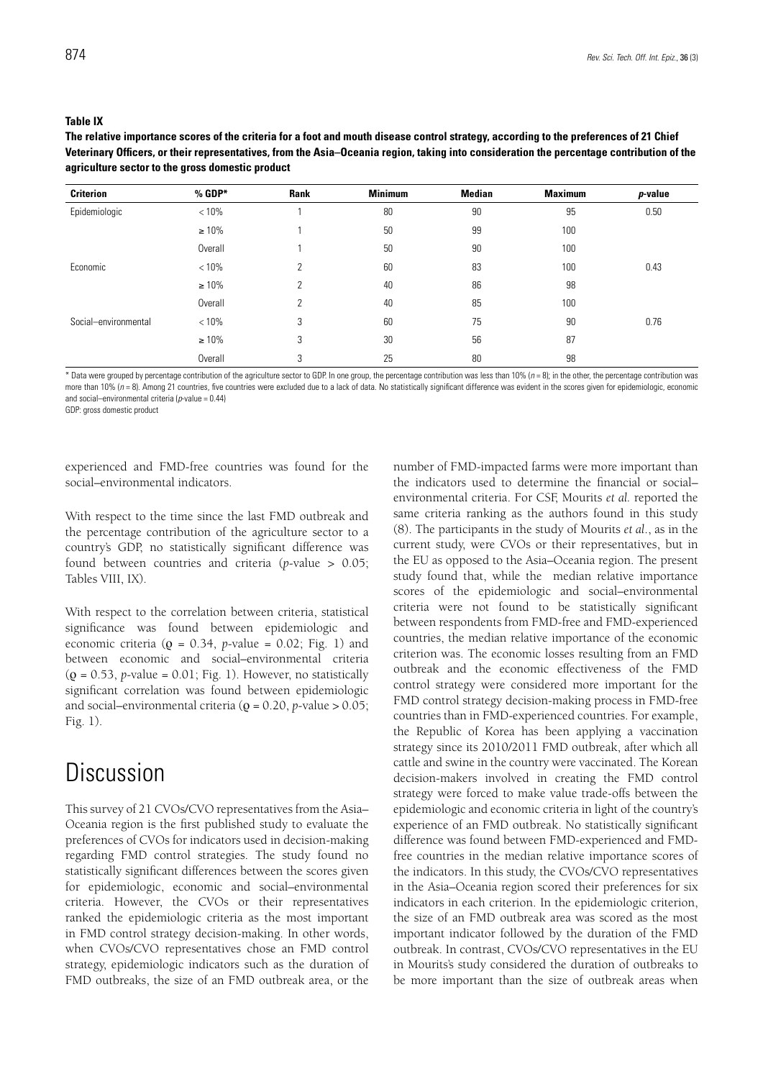#### **Table IX**

**The relative importance scores of the criteria for a foot and mouth disease control strategy, according to the preferences of 21 Chief Veterinary Officers, or their representatives, from the Asia–Oceania region, taking into consideration the percentage contribution of the agriculture sector to the gross domestic product**

| <b>Criterion</b>     | $%$ GDP*    | Rank | <b>Minimum</b> | <b>Median</b> | <b>Maximum</b> | p-value |
|----------------------|-------------|------|----------------|---------------|----------------|---------|
| Epidemiologic        | < 10%       |      | 80             | 90            | 95             | 0.50    |
|                      | $\geq 10\%$ |      | 50             | 99            | 100            |         |
|                      | Overall     |      | 50             | 90            | 100            |         |
| Economic             | < 10%       | 2    | 60             | 83            | 100            | 0.43    |
|                      | $\geq 10\%$ | 2    | 40             | 86            | 98             |         |
|                      | Overall     | 2    | 40             | 85            | 100            |         |
| Social-environmental | < 10%       | 3    | 60             | 75            | 90             | 0.76    |
|                      | $\geq 10\%$ | 3    | 30             | 56            | 87             |         |
|                      | Overall     | 3    | 25             | 80            | 98             |         |

\* Data were grouped by percentage contribution of the agriculture sector to GDP. In one group, the percentage contribution was less than 10% (*n* = 8); in the other, the percentage contribution was more than 10% ( $n = 8$ ). Among 21 countries, five countries were excluded due to a lack of data. No statistically significant difference was evident in the scores given for epidemiologic, economic and social–environmental criteria (*p*-value = 0.44)

GDP: gross domestic product

experienced and FMD-free countries was found for the social–environmental indicators.

With respect to the time since the last FMD outbreak and the percentage contribution of the agriculture sector to a country's GDP, no statistically significant difference was found between countries and criteria (*p*-value > 0.05; Tables VIII, IX).

With respect to the correlation between criteria, statistical significance was found between epidemiologic and economic criteria (ρ = 0.34, *p*-value = 0.02; Fig. 1) and between economic and social–environmental criteria  $(\rho = 0.53, p-value = 0.01; Fig. 1)$ . However, no statistically significant correlation was found between epidemiologic and social–environmental criteria (ρ = 0.20, *p*-value > 0.05; Fig. 1).

### **Discussion**

This survey of 21 CVOs/CVO representatives from the Asia– Oceania region is the first published study to evaluate the preferences of CVOs for indicators used in decision-making regarding FMD control strategies. The study found no statistically significant differences between the scores given for epidemiologic, economic and social–environmental criteria. However, the CVOs or their representatives ranked the epidemiologic criteria as the most important in FMD control strategy decision-making. In other words, when CVOs/CVO representatives chose an FMD control strategy, epidemiologic indicators such as the duration of FMD outbreaks, the size of an FMD outbreak area, or the

number of FMD-impacted farms were more important than the indicators used to determine the financial or social– environmental criteria. For CSF, Mourits *et al.* reported the same criteria ranking as the authors found in this study (8). The participants in the study of Mourits *et al*., as in the current study, were CVOs or their representatives, but in the EU as opposed to the Asia–Oceania region. The present study found that, while the median relative importance scores of the epidemiologic and social–environmental criteria were not found to be statistically significant between respondents from FMD-free and FMD-experienced countries, the median relative importance of the economic criterion was. The economic losses resulting from an FMD outbreak and the economic effectiveness of the FMD control strategy were considered more important for the FMD control strategy decision-making process in FMD-free countries than in FMD-experienced countries. For example, the Republic of Korea has been applying a vaccination strategy since its 2010/2011 FMD outbreak, after which all cattle and swine in the country were vaccinated. The Korean decision-makers involved in creating the FMD control strategy were forced to make value trade-offs between the epidemiologic and economic criteria in light of the country's experience of an FMD outbreak. No statistically significant difference was found between FMD-experienced and FMDfree countries in the median relative importance scores of the indicators. In this study, the CVOs/CVO representatives in the Asia–Oceania region scored their preferences for six indicators in each criterion. In the epidemiologic criterion, the size of an FMD outbreak area was scored as the most important indicator followed by the duration of the FMD outbreak. In contrast, CVOs/CVO representatives in the EU in Mourits's study considered the duration of outbreaks to be more important than the size of outbreak areas when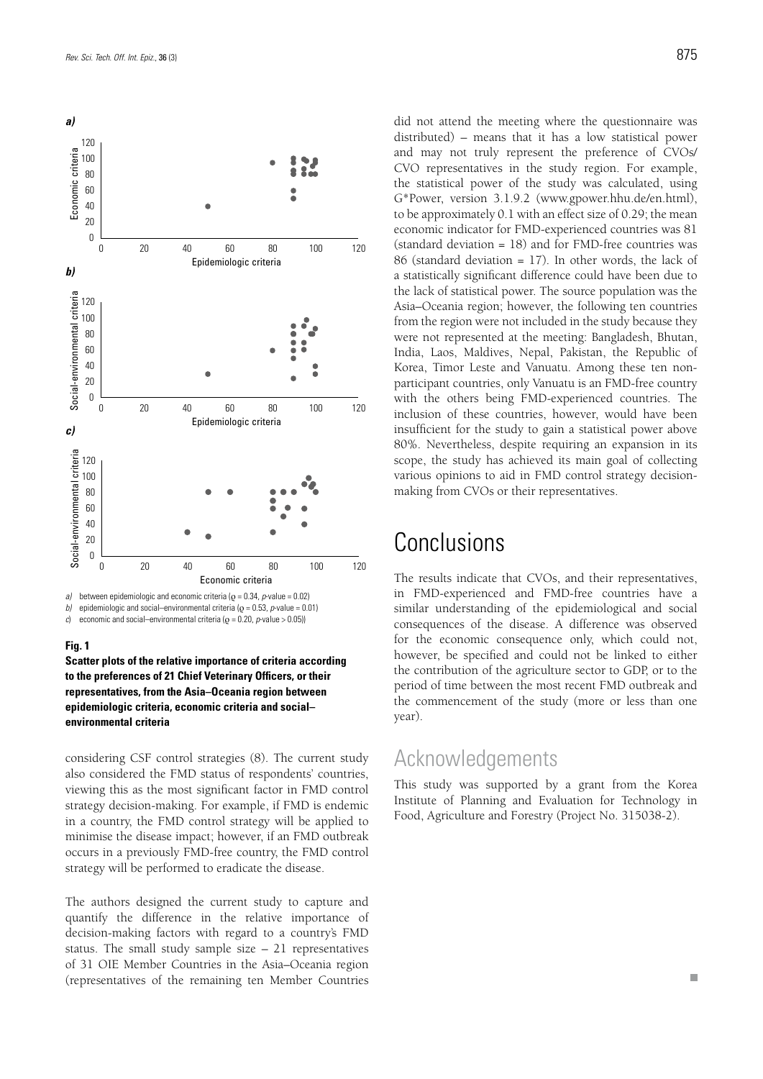

*between epidemiologic and economic criteria (* $Q = 0.34$ *, <i>p*-value = 0.02) *b)* epidemiologic and social–environmental criteria ( $\varrho$  = 0.53, *p*-value = 0.01)

*c*) economic and social–environmental criteria ( $ρ = 0.20$ , *p*-value > 0.05))

#### **Fig. 1**

**Scatter plots of the relative importance of criteria according to the preferences of 21 Chief Veterinary Officers, or their representatives, from the Asia–Oceania region between epidemiologic criteria, economic criteria and social– environmental criteria**

considering CSF control strategies (8). The current study also considered the FMD status of respondents' countries, viewing this as the most significant factor in FMD control strategy decision-making. For example, if FMD is endemic in a country, the FMD control strategy will be applied to minimise the disease impact; however, if an FMD outbreak occurs in a previously FMD-free country, the FMD control strategy will be performed to eradicate the disease.

The authors designed the current study to capture and quantify the difference in the relative importance of decision-making factors with regard to a country's FMD status. The small study sample size – 21 representatives of 31 OIE Member Countries in the Asia–Oceania region (representatives of the remaining ten Member Countries

did not attend the meeting where the questionnaire was distributed) – means that it has a low statistical power and may not truly represent the preference of CVOs/ CVO representatives in the study region. For example, the statistical power of the study was calculated, using G\*Power, version 3.1.9.2 (www.gpower.hhu.de/en.html), to be approximately 0.1 with an effect size of 0.29; the mean economic indicator for FMD-experienced countries was 81 (standard deviation = 18) and for FMD-free countries was 86 (standard deviation = 17). In other words, the lack of a statistically significant difference could have been due to the lack of statistical power. The source population was the Asia–Oceania region; however, the following ten countries from the region were not included in the study because they were not represented at the meeting: Bangladesh, Bhutan, India, Laos, Maldives, Nepal, Pakistan, the Republic of Korea, Timor Leste and Vanuatu. Among these ten nonparticipant countries, only Vanuatu is an FMD-free country with the others being FMD-experienced countries. The inclusion of these countries, however, would have been insufficient for the study to gain a statistical power above 80%. Nevertheless, despite requiring an expansion in its scope, the study has achieved its main goal of collecting various opinions to aid in FMD control strategy decisionmaking from CVOs or their representatives.

### **Conclusions**

The results indicate that CVOs, and their representatives, in FMD-experienced and FMD-free countries have a similar understanding of the epidemiological and social consequences of the disease. A difference was observed for the economic consequence only, which could not, however, be specified and could not be linked to either the contribution of the agriculture sector to GDP, or to the period of time between the most recent FMD outbreak and the commencement of the study (more or less than one year).

### Acknowledgements

This study was supported by a grant from the Korea Institute of Planning and Evaluation for Technology in Food, Agriculture and Forestry (Project No. 315038-2).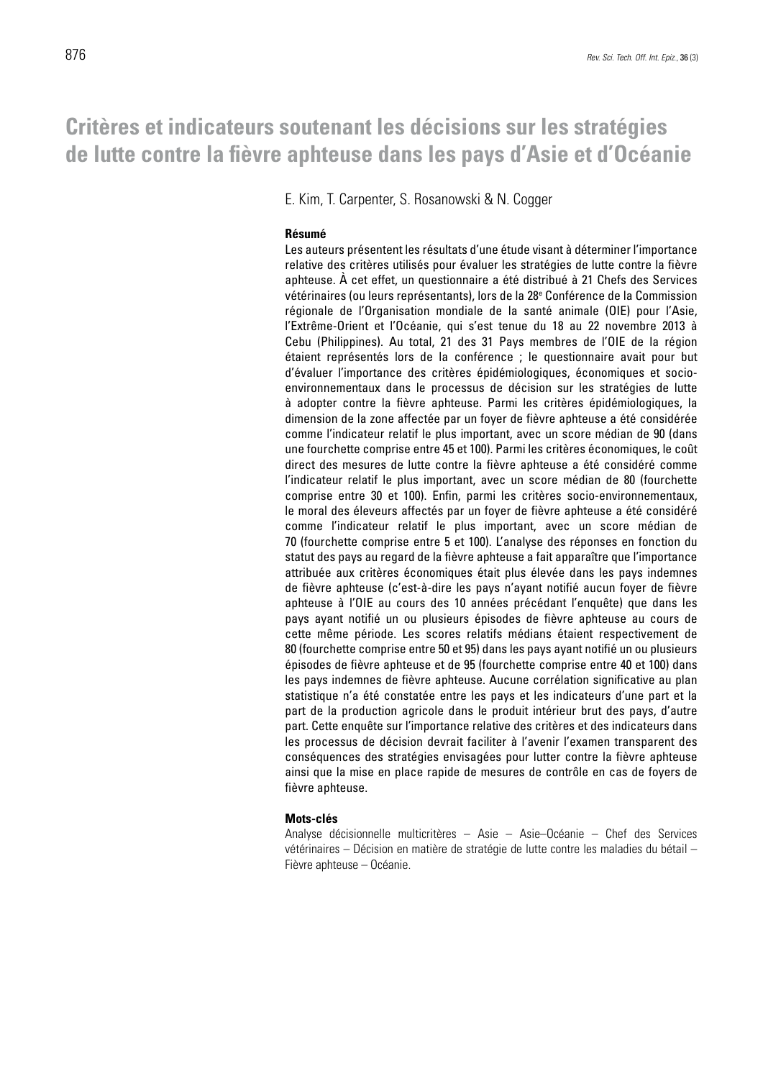### **Critères et indicateurs soutenant les décisions sur les stratégies de lutte contre la fièvre aphteuse dans les pays d'Asie et d'Océanie**

E. Kim, T. Carpenter, S. Rosanowski & N. Cogger

#### **Résumé**

Les auteurs présentent les résultats d'une étude visant à déterminer l'importance relative des critères utilisés pour évaluer les stratégies de lutte contre la fièvre aphteuse. À cet effet, un questionnaire a été distribué à 21 Chefs des Services vétérinaires (ou leurs représentants), lors de la 28e Conférence de la Commission régionale de l'Organisation mondiale de la santé animale (OIE) pour l'Asie, l'Extrême-Orient et l'Océanie, qui s'est tenue du 18 au 22 novembre 2013 à Cebu (Philippines). Au total, 21 des 31 Pays membres de l'OIE de la région étaient représentés lors de la conférence ; le questionnaire avait pour but d'évaluer l'importance des critères épidémiologiques, économiques et socioenvironnementaux dans le processus de décision sur les stratégies de lutte à adopter contre la fièvre aphteuse. Parmi les critères épidémiologiques, la dimension de la zone affectée par un foyer de fièvre aphteuse a été considérée comme l'indicateur relatif le plus important, avec un score médian de 90 (dans une fourchette comprise entre 45 et 100). Parmi les critères économiques, le coût direct des mesures de lutte contre la fièvre aphteuse a été considéré comme l'indicateur relatif le plus important, avec un score médian de 80 (fourchette comprise entre 30 et 100). Enfin, parmi les critères socio-environnementaux, le moral des éleveurs affectés par un foyer de fièvre aphteuse a été considéré comme l'indicateur relatif le plus important, avec un score médian de 70 (fourchette comprise entre 5 et 100). L'analyse des réponses en fonction du statut des pays au regard de la fièvre aphteuse a fait apparaître que l'importance attribuée aux critères économiques était plus élevée dans les pays indemnes de fièvre aphteuse (c'est-à-dire les pays n'ayant notifié aucun foyer de fièvre aphteuse à l'OIE au cours des 10 années précédant l'enquête) que dans les pays ayant notifié un ou plusieurs épisodes de fièvre aphteuse au cours de cette même période. Les scores relatifs médians étaient respectivement de 80 (fourchette comprise entre 50 et 95) dans les pays ayant notifié un ou plusieurs épisodes de fièvre aphteuse et de 95 (fourchette comprise entre 40 et 100) dans les pays indemnes de fièvre aphteuse. Aucune corrélation significative au plan statistique n'a été constatée entre les pays et les indicateurs d'une part et la part de la production agricole dans le produit intérieur brut des pays, d'autre part. Cette enquête sur l'importance relative des critères et des indicateurs dans les processus de décision devrait faciliter à l'avenir l'examen transparent des conséquences des stratégies envisagées pour lutter contre la fièvre aphteuse ainsi que la mise en place rapide de mesures de contrôle en cas de foyers de fièvre aphteuse.

#### **Mots-clés**

Analyse décisionnelle multicritères – Asie – Asie–Océanie – Chef des Services vétérinaires – Décision en matière de stratégie de lutte contre les maladies du bétail – Fièvre aphteuse – Océanie.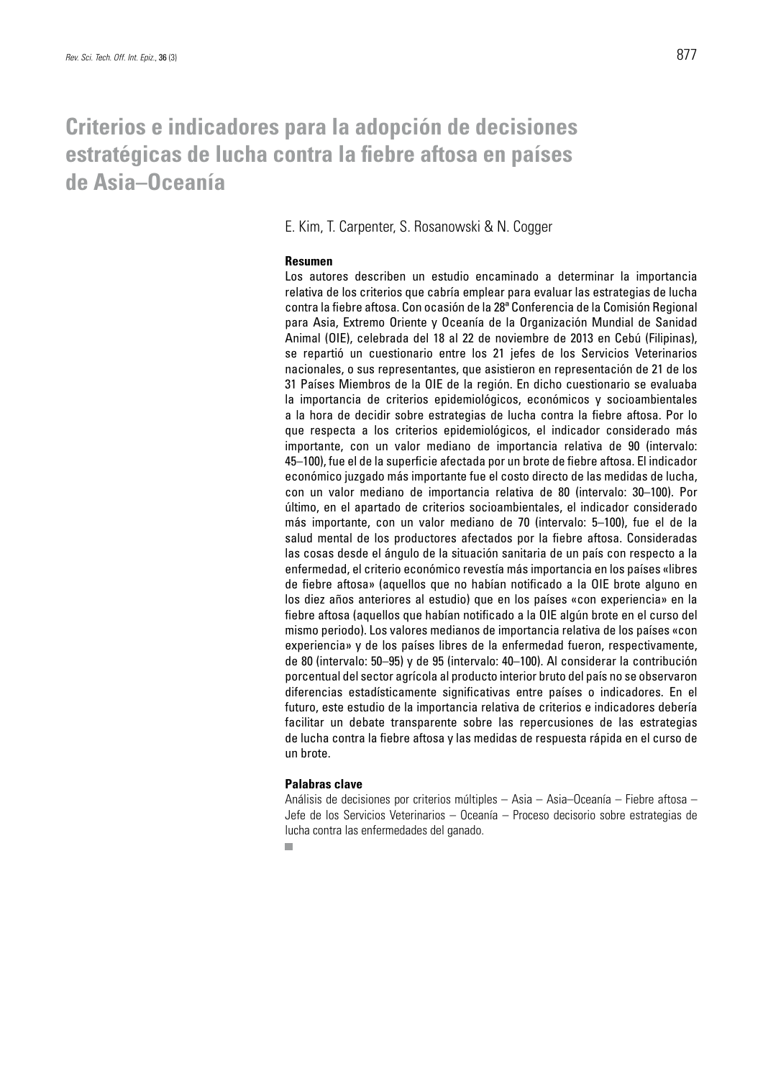### **Criterios e indicadores para la adopción de decisiones estratégicas de lucha contra la fiebre aftosa en países de Asia–Oceanía**

E. Kim, T. Carpenter, S. Rosanowski & N. Cogger

#### **Resumen**

Los autores describen un estudio encaminado a determinar la importancia relativa de los criterios que cabría emplear para evaluar las estrategias de lucha contra la fiebre aftosa. Con ocasión de la 28ª Conferencia de la Comisión Regional para Asia, Extremo Oriente y Oceanía de la Organización Mundial de Sanidad Animal (OIE), celebrada del 18 al 22 de noviembre de 2013 en Cebú (Filipinas), se repartió un cuestionario entre los 21 jefes de los Servicios Veterinarios nacionales, o sus representantes, que asistieron en representación de 21 de los 31 Países Miembros de la OIE de la región. En dicho cuestionario se evaluaba la importancia de criterios epidemiológicos, económicos y socioambientales a la hora de decidir sobre estrategias de lucha contra la fiebre aftosa. Por lo que respecta a los criterios epidemiológicos, el indicador considerado más importante, con un valor mediano de importancia relativa de 90 (intervalo: 45–100), fue el de la superficie afectada por un brote de fiebre aftosa. El indicador económico juzgado más importante fue el costo directo de las medidas de lucha, con un valor mediano de importancia relativa de 80 (intervalo: 30–100). Por último, en el apartado de criterios socioambientales, el indicador considerado más importante, con un valor mediano de 70 (intervalo: 5–100), fue el de la salud mental de los productores afectados por la fiebre aftosa. Consideradas las cosas desde el ángulo de la situación sanitaria de un país con respecto a la enfermedad, el criterio económico revestía más importancia en los países «libres de fiebre aftosa» (aquellos que no habían notificado a la OIE brote alguno en los diez años anteriores al estudio) que en los países «con experiencia» en la fiebre aftosa (aquellos que habían notificado a la OIE algún brote en el curso del mismo periodo). Los valores medianos de importancia relativa de los países «con experiencia» y de los países libres de la enfermedad fueron, respectivamente, de 80 (intervalo: 50–95) y de 95 (intervalo: 40–100). Al considerar la contribución porcentual del sector agrícola al producto interior bruto del país no se observaron diferencias estadísticamente significativas entre países o indicadores. En el futuro, este estudio de la importancia relativa de criterios e indicadores debería facilitar un debate transparente sobre las repercusiones de las estrategias de lucha contra la fiebre aftosa y las medidas de respuesta rápida en el curso de un brote.

#### **Palabras clave**

Análisis de decisiones por criterios múltiples – Asia – Asia–Oceanía – Fiebre aftosa – Jefe de los Servicios Veterinarios – Oceanía – Proceso decisorio sobre estrategias de lucha contra las enfermedades del ganado.

 $\overline{\phantom{a}}$